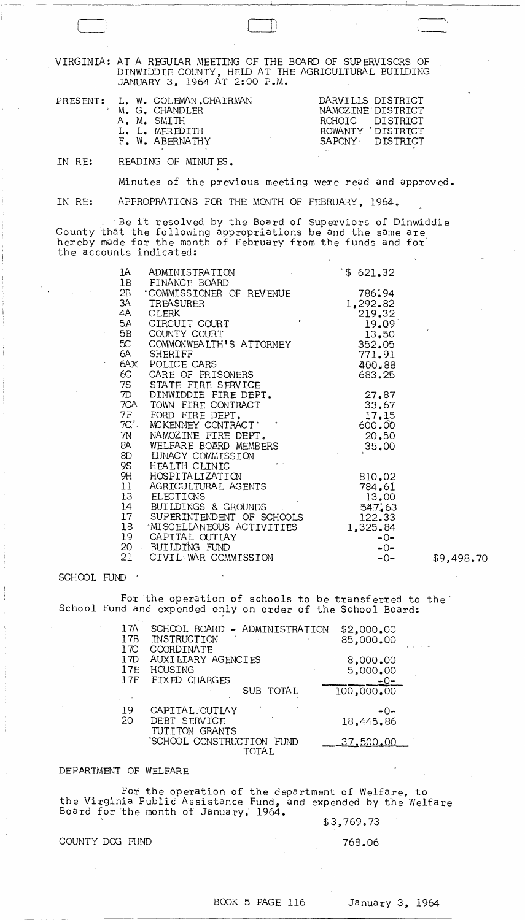VIRGINIA: AT A REGULAR MEETING OF THE BOARD OF SUPERVISORS OF DINWIDDIE COUNTY, HELD AT THE AGRICULTURAL BUILDING JANUARY 3, 1964 AT 2:00 P.M.

|  | PRESENT: L. W. COLEMAN, CHAIRMAN | DARVILLS DISTRICT |                   |
|--|----------------------------------|-------------------|-------------------|
|  | . M. G. CHANDLER                 |                   | NAMOZINE DISTRICT |
|  | A. M. SMITH                      |                   | ROHOIC DISTRICT   |
|  | L. L. MEREDITH                   |                   | ROWANTY DISTRICT  |
|  | F. W. ABERNATHY                  |                   | SAPONY DISTRICT   |
|  |                                  |                   |                   |

IN RE: READING OF MINUTES.

-- ~-----~~~

Minutes of the previous meeting were read and approved.

 $\Box$ 

IN RE: APPROPRATIONS FOR THE MONTH OF FEBRUARY, 1964.

. -Be it resolved by the Board of Superviors of Dinwiddie County that the following appropriations be and the same are hereby made for the month of February from the funds and for' the accounts indicated:

| 1A<br>1B      | ADMINISTRATION<br>FINANCE BOARD | \$621.32 |
|---------------|---------------------------------|----------|
| 2B            | COMMISSIONER OF REVENUE         | 786.94   |
| ЗA            | TREASURER                       | 1,292.82 |
| 4A            | <b>CLERK</b>                    | 219.32   |
| 5A            | ۰<br>CIRCUIT COURT              | 19.09    |
| 5B            | COUNTY COURT                    | 13.50    |
| 5C            | COMMONWEALTH'S ATTORNEY         | 352.05   |
| 6A            | <b>SHERIFF</b>                  | 771.91   |
| 6AX           | POLICE CARS                     | 400.88   |
| 6C            | CARE OF PRISONERS               | 683.25   |
| 7S            | STATE FIRE SERVICE              |          |
| $\mathcal{D}$ | DINWIDDIE FIRE DEPT.            | 27.87    |
| 7CA           | TOWN FIRE CONTRACT              | 33.67    |
| <b>7F</b>     | FORD FIRE DEPT.                 | 17.15    |
| $7C^2$ .      | MCKENNEY CONTRACT'              | 600.00   |
| 7N            | NAMOZINE FIRE DEPT.             | 20.50    |
| 8A            | WELFARE BOARD MEMBERS           | 35.00    |
| 8D            | LUNACY COMMISSION               |          |
| 9S            | HEALTH CLINIC                   |          |
| 9H            | HOSPITALIZATION                 | 810.02   |
| 11            | AGRICULTURAL AGENTS             | 784.61   |
| 13            | ELECTIONS                       | 13.00    |
| 14            | BUILDINGS & GROUNDS             | 547.63   |
| 17            | SUPERINTENDENT OF SCHOOLS       | 122.33   |
| 18            | <b>MISCELLANEOUS ACTIVITIES</b> | 1,325.84 |
| 19            | CAPITAL OUTIAY                  | $-0-$    |
| 20            | BUILDING FUND                   | $-0-$    |
| 21            | CIVIL WAR COMMISSION            | $-0-$    |

SCHOOL FUND '

For the operation of schools to be transferred to the' School Fund and expended only on order of the School Board:

| 17A<br>17B<br>17C | SCHOOL BOARD - ADMINISTRATION<br>INSTRUCTION<br>COORDINATE | \$2,000.00<br>85,000.00       |  |
|-------------------|------------------------------------------------------------|-------------------------------|--|
| 17D<br>17E<br>17F | AUXILIARY AGENCIES<br>HOUSING<br>FIXED CHARGES             | 8,000,00<br>5,000.00<br>$-0-$ |  |
|                   | SUB TOTAL                                                  | 100,000,00                    |  |
| 19<br>20          | CAPITAL OUTLAY<br>DEBT SERVICE<br>TUTITON GRANTS           | -0-<br>18,445.86              |  |
|                   | 'SCHOOL CONSTRUCTION FUND<br>TOTAL.                        | <u>37,500,00</u>              |  |

## DEPARTMENT OF WELFARE

For the operation of the department of Welfare, to the Virginia Public Assistance Fund, and expended by the Welfare Board for the month of January,  $1964.$ 

\$3,769.73

COUNTY DOG FUND 768.06

-0- \$9,498.70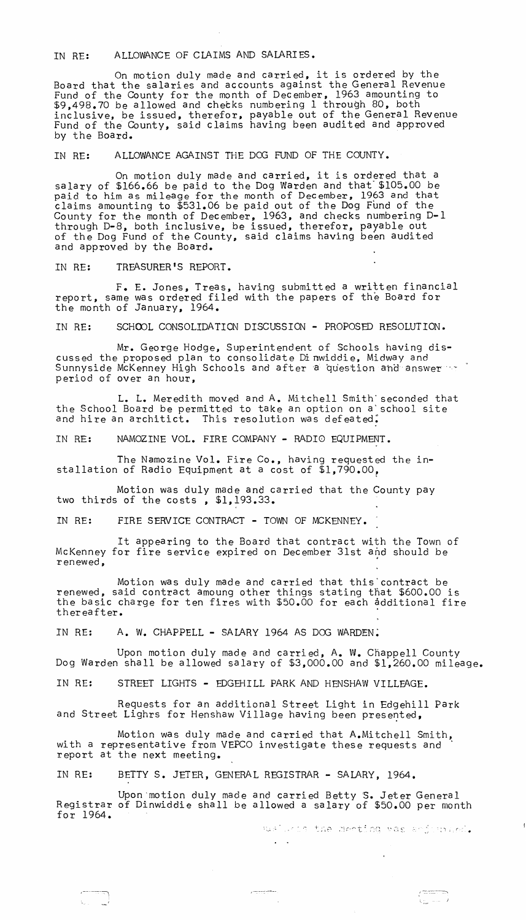IN RE: ALLOWANCE OF CLAIMS AND SALARIES.

On motion duly made and carried, it is ordered by the Board that the salaries and accounts against the General Revenue Fund of the County for the month of December, 1963 amounting to \$9,498.70 be allowed and checks numbering 1 through 80, both inclusive, be issued, therefor, payable out of the General Revenue Fund of the County, said claims having been audited and approved by the Board.

IN RE: ALLOWANCE AGAINST THE DOG FUND OF THE COUNTY.

On motion duly made and carried, it is ordered that a salary of \$166.66 be paid to the Dog Warden and that" \$105.00 be paid to him as mileage for the month of December, 1963 and that claims amounting to \$531.06 be paid out of the Dog Fund of the County for the month of December, 1963, and checks numbering D-l through D-8, both inclusive, be issued, therefor, payable out of the Dog Fund of the County, said claims having been audited and approved by the Board.

IN RE: TREASURER'S REPORT.

F. E. Jones, Treas, having submitted a written financial report, same was ordered filed with the papers of the Board for the month of January, 1964.

IN RE: SCHOOL CONSOLIDATION DISCUSSION - PROPOSED RESOLUTION.

Mr. George Hodge, Superintendent of Schools having discussed the proposed plan to consolidate Di nwiddie, Midway and Sunnyside McKenney High Schools and after a question and answer  $\sim$ period of over an hour,

L. L. Meredith moved and A. Mitchell Smith' seconded that the School Board be permitted to take an option on a'school site and hire an architict. This resolution was defeated.

IN RE: NAMOZINE VOL. FIRE COMPANY - RADIO EQUIPMENT.

The Namozine Vol. Fire Co., having requested the installation of Radio Equipment at a cost of \$1,790.00,

Motion was duly made and carried that the County pay two thirds of the costs, \$1,193.33.

IN RE: FIRE SERVICE CONTRACT - TOWN OF MCKENNEY.

It appearing to the Board that contract with the Town of McKenney for fire service expired on December 31st and should be renewed,

Motion was duly made and carried that this'contract be renewed, said contract amoung other things stating that \$600.00 is the basic charge for ten fires with \$50.00 for each additional fire thereafter.

IN RE: A. W. CHAPPELL - SALARY 1964 AS DOG WARDEN:

Upon motion duly made and carried, A. W. Chappell County Dog Warden shall be allowed salary of \$3,000.00 and \$1,260.00 mileage.

IN RE: STREET LIGHTS - EDGEHILL PARK AND HENSHAW VILLEAGE.

Requests for an additional Street Light in Edgehill Park and Street Lighrs for Henshaw Village having been presented,

Motion was duly made and carried that A.Mitchell Smith, with a representative from VEPCO investigate these requests and " report at the next meeting.

IN RE: BETTY S. JETER, GENERAL REGISTRAR - SALARY, 1964.

Upon 'motion duly made and carried Betty S. Jeter General Registrar of Dinwiddie shall be allowed a salary of \$50.00 per month for 1964.

 $7 - 27 - 37$ 

 $\mathcal{L}(\mathbf{q})$  ,  $\mathcal{L}(\mathbf{q})$  ,

asiunds the menting was anjudance.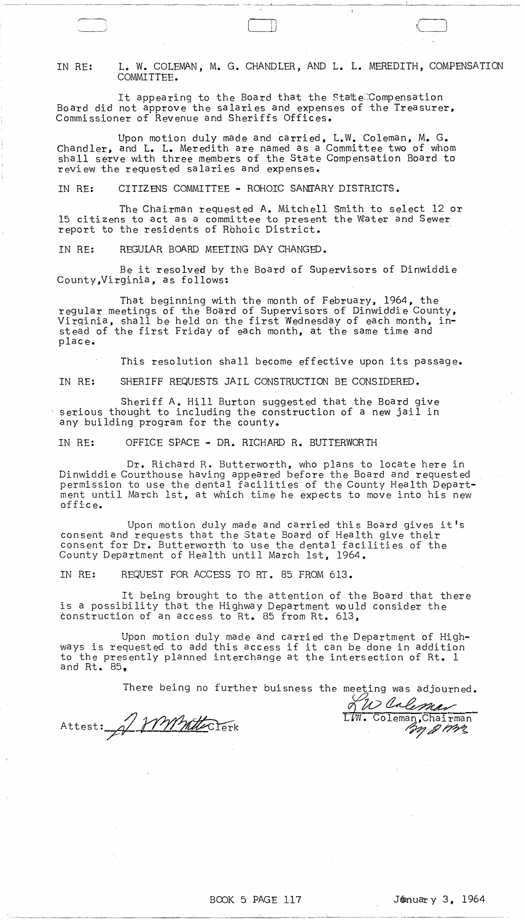IN RE: L. W. COLEMAN, M. G. CHANDLER, AND L. L. MEREDITH, COMPENSATION COMMITTEE.

It appearing to the Board that the State<sup>C</sup>Compensation Board did not approve the salaries and expenses of the Treasurer, Commissioner of Revenue and Sheriffs Offices.

Upon motion duly made and carried, L.W. Coleman, M. G. Chandler, and L. L. Meredith are named as a Committee two of whom shall serve with three members of the State Compensation Board to review the requested salaries and expenses.

IN RE: CITIZENS COMMITTEE - ROHOIC SANTARY DISTRICTS.

The Chairman requested A. Mitchell Smith to select 12 or 15 citizens to act as a committee to present the Water and Sewer report to the residents of Rbhoic District.

IN RE: REGULAR BOARD MEETING DAY CHANGED.

Be it resolved by the Board of Supervisors of Dinwiddie County,Virginia, as follows:

That beginning with the month of February, 1964, the regular meetings of the Board of Supervisors of Dinwiddie County, Virginia, shall be held on the first Wednesday of each month, instead of the first Friday of each month, at the same time and plac e.

This resolution shall become effective upon its passage.

IN RE: SHERIFF REQUESTS JAIL CONSTRUCTION BE CONSIDERED.

Sheriff A. Hill Burton suggested that the Board give serious thought to including the construction of a new jail in any building program for the county.

IN RE: OFFICE SPACE - DR. RICHARD R. BUTTERWORTH

Dr. Richard R. Butterworth, who plans to locate here in Dinwiddie Courthouse having appeared before the Board and requested permission to use the dental facilities of the County Health Department until March 1st, at which time he expects to move into his new offi c e.

Upon motion duly made and carried this Board gives it's consent and requests that the State Board of Health give their consent for Dr. Butterworth to use the dental facilities of the County Department of Health until March 1st, 1964.

IN RE: REQUEST FOR ACCESS TO RT. 85 FROM 613.

It being brought to the attention of the Board that there is a possibility that the Highway Department would consider the construction of an access to Rt. 85 from Rt. 613,

Upon motion duly made and carried the Department of Highways is requested to add this access if it can be done in addition to the presently planned interchange at the intersection of Rt. 1 and Rt. 85,

There being no further buisness the meeting was adjourned.

Attest: 1 MMMtclerk

LW. Coleman, Chairman . ~.;d'/~